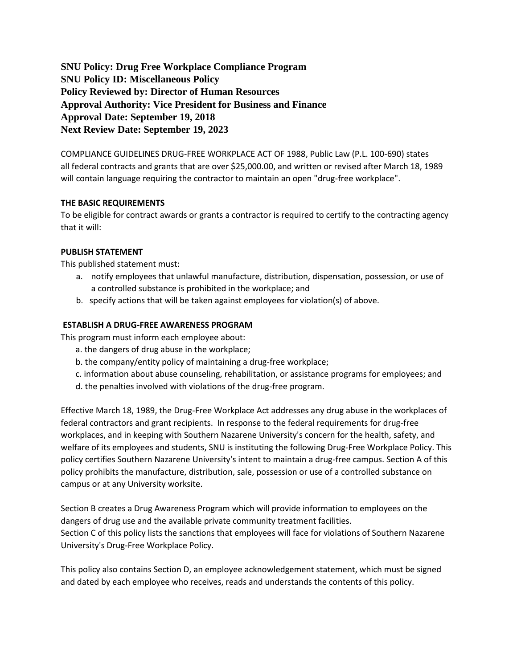**SNU Policy: Drug Free Workplace Compliance Program SNU Policy ID: Miscellaneous Policy Policy Reviewed by: Director of Human Resources Approval Authority: Vice President for Business and Finance Approval Date: September 19, 2018 Next Review Date: September 19, 2023**

COMPLIANCE GUIDELINES DRUG-FREE WORKPLACE ACT OF 1988, Public Law (P.L. 100-690) states all federal contracts and grants that are over \$25,000.00, and written or revised after March 18, 1989 will contain language requiring the contractor to maintain an open "drug-free workplace".

#### **THE BASIC REQUIREMENTS**

To be eligible for contract awards or grants a contractor is required to certify to the contracting agency that it will:

## **PUBLISH STATEMENT**

This published statement must:

- a. notify employees that unlawful manufacture, distribution, dispensation, possession, or use of a controlled substance is prohibited in the workplace; and
- b. specify actions that will be taken against employees for violation(s) of above.

## **ESTABLISH A DRUG-FREE AWARENESS PROGRAM**

This program must inform each employee about:

- a. the dangers of drug abuse in the workplace;
- b. the company/entity policy of maintaining a drug-free workplace;
- c. information about abuse counseling, rehabilitation, or assistance programs for employees; and
- d. the penalties involved with violations of the drug-free program.

Effective March 18, 1989, the Drug-Free Workplace Act addresses any drug abuse in the workplaces of federal contractors and grant recipients. In response to the federal requirements for drug-free workplaces, and in keeping with Southern Nazarene University's concern for the health, safety, and welfare of its employees and students, SNU is instituting the following Drug-Free Workplace Policy. This policy certifies Southern Nazarene University's intent to maintain a drug-free campus. Section A of this policy prohibits the manufacture, distribution, sale, possession or use of a controlled substance on campus or at any University worksite.

Section B creates a Drug Awareness Program which will provide information to employees on the dangers of drug use and the available private community treatment facilities. Section C of this policy lists the sanctions that employees will face for violations of Southern Nazarene University's Drug-Free Workplace Policy.

This policy also contains Section D, an employee acknowledgement statement, which must be signed and dated by each employee who receives, reads and understands the contents of this policy.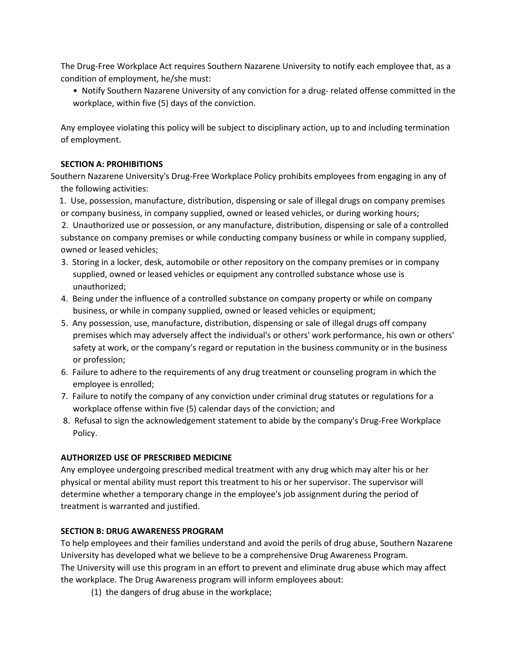The Drug-Free Workplace Act requires Southern Nazarene University to notify each employee that, as a condition of employment, he/she must:

• Notify Southern Nazarene University of any conviction for a drug- related offense committed in the workplace, within five (5) days of the conviction.

Any employee violating this policy will be subject to disciplinary action, up to and including termination of employment.

## **SECTION A: PROHIBITIONS**

Southern Nazarene University's Drug-Free Workplace Policy prohibits employees from engaging in any of the following activities:

 1. Use, possession, manufacture, distribution, dispensing or sale of illegal drugs on company premises or company business, in company supplied, owned or leased vehicles, or during working hours;

 2. Unauthorized use or possession, or any manufacture, distribution, dispensing or sale of a controlled substance on company premises or while conducting company business or while in company supplied, owned or leased vehicles;

- 3. Storing in a locker, desk, automobile or other repository on the company premises or in company supplied, owned or leased vehicles or equipment any controlled substance whose use is unauthorized;
- 4. Being under the influence of a controlled substance on company property or while on company business, or while in company supplied, owned or leased vehicles or equipment;
- 5. Any possession, use, manufacture, distribution, dispensing or sale of illegal drugs off company premises which may adversely affect the individual's or others' work performance, his own or others' safety at work, or the company's regard or reputation in the business community or in the business or profession;
- 6. Failure to adhere to the requirements of any drug treatment or counseling program in which the employee is enrolled;
- 7. Failure to notify the company of any conviction under criminal drug statutes or regulations for a workplace offense within five (5) calendar days of the conviction; and
- 8. Refusal to sign the acknowledgement statement to abide by the company's Drug-Free Workplace Policy.

#### **AUTHORIZED USE OF PRESCRIBED MEDICINE**

Any employee undergoing prescribed medical treatment with any drug which may alter his or her physical or mental ability must report this treatment to his or her supervisor. The supervisor will determine whether a temporary change in the employee's job assignment during the period of treatment is warranted and justified.

#### **SECTION B: DRUG AWARENESS PROGRAM**

To help employees and their families understand and avoid the perils of drug abuse, Southern Nazarene University has developed what we believe to be a comprehensive Drug Awareness Program. The University will use this program in an effort to prevent and eliminate drug abuse which may affect the workplace. The Drug Awareness program will inform employees about:

(1) the dangers of drug abuse in the workplace;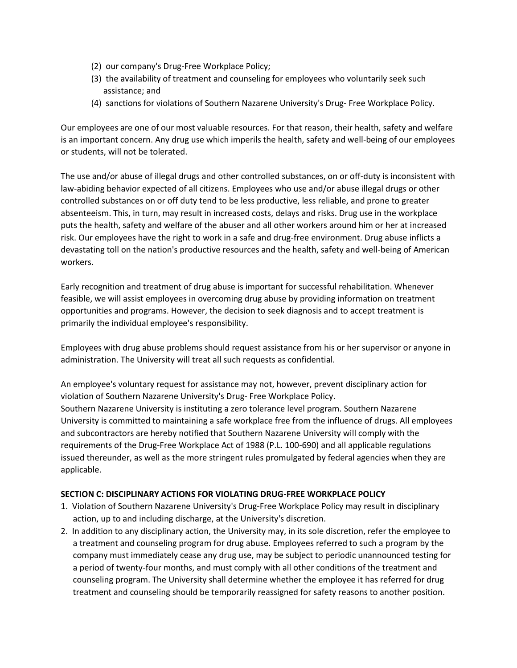- (2) our company's Drug-Free Workplace Policy;
- (3) the availability of treatment and counseling for employees who voluntarily seek such assistance; and
- (4) sanctions for violations of Southern Nazarene University's Drug- Free Workplace Policy.

Our employees are one of our most valuable resources. For that reason, their health, safety and welfare is an important concern. Any drug use which imperils the health, safety and well-being of our employees or students, will not be tolerated.

The use and/or abuse of illegal drugs and other controlled substances, on or off-duty is inconsistent with law-abiding behavior expected of all citizens. Employees who use and/or abuse illegal drugs or other controlled substances on or off duty tend to be less productive, less reliable, and prone to greater absenteeism. This, in turn, may result in increased costs, delays and risks. Drug use in the workplace puts the health, safety and welfare of the abuser and all other workers around him or her at increased risk. Our employees have the right to work in a safe and drug-free environment. Drug abuse inflicts a devastating toll on the nation's productive resources and the health, safety and well-being of American workers.

Early recognition and treatment of drug abuse is important for successful rehabilitation. Whenever feasible, we will assist employees in overcoming drug abuse by providing information on treatment opportunities and programs. However, the decision to seek diagnosis and to accept treatment is primarily the individual employee's responsibility.

Employees with drug abuse problems should request assistance from his or her supervisor or anyone in administration. The University will treat all such requests as confidential.

An employee's voluntary request for assistance may not, however, prevent disciplinary action for violation of Southern Nazarene University's Drug- Free Workplace Policy.

Southern Nazarene University is instituting a zero tolerance level program. Southern Nazarene University is committed to maintaining a safe workplace free from the influence of drugs. All employees and subcontractors are hereby notified that Southern Nazarene University will comply with the requirements of the Drug-Free Workplace Act of 1988 (P.L. 100-690) and all applicable regulations issued thereunder, as well as the more stringent rules promulgated by federal agencies when they are applicable.

# **SECTION C: DISCIPLINARY ACTIONS FOR VIOLATING DRUG-FREE WORKPLACE POLICY**

- 1. Violation of Southern Nazarene University's Drug-Free Workplace Policy may result in disciplinary action, up to and including discharge, at the University's discretion.
- 2. In addition to any disciplinary action, the University may, in its sole discretion, refer the employee to a treatment and counseling program for drug abuse. Employees referred to such a program by the company must immediately cease any drug use, may be subject to periodic unannounced testing for a period of twenty-four months, and must comply with all other conditions of the treatment and counseling program. The University shall determine whether the employee it has referred for drug treatment and counseling should be temporarily reassigned for safety reasons to another position.